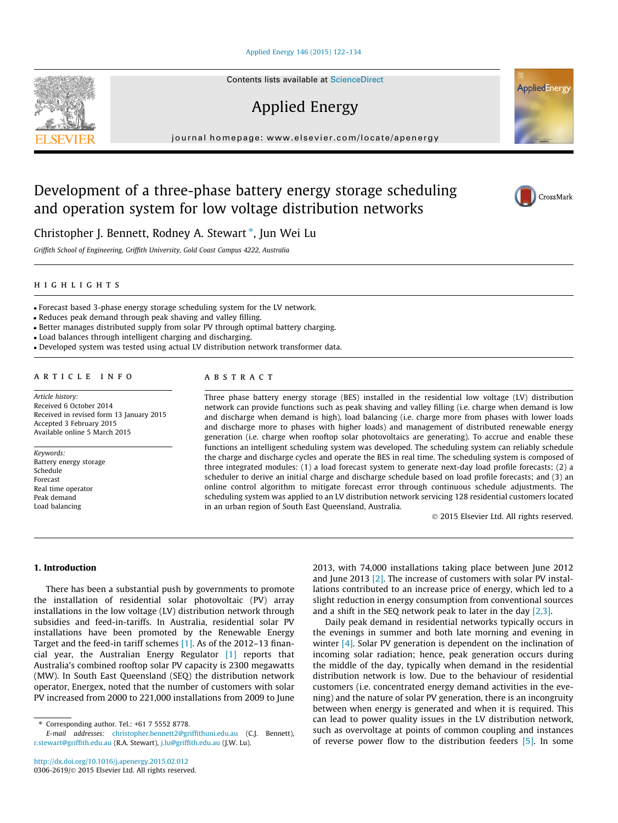#### [Applied Energy 146 \(2015\) 122–134](http://dx.doi.org/10.1016/j.apenergy.2015.02.012)

Contents lists available at [ScienceDirect](http://www.sciencedirect.com/science/journal/03062619)

## Applied Energy

journal homepage: [www.elsevier.com/locate/apenergy](http://www.elsevier.com/locate/apenergy)

## Development of a three-phase battery energy storage scheduling and operation system for low voltage distribution networks

Christopher J. Bennett, Rodney A. Stewart<sup>\*</sup>, Jun Wei Lu

Griffith School of Engineering, Griffith University, Gold Coast Campus 4222, Australia

#### highlights

- Forecast based 3-phase energy storage scheduling system for the LV network.

- Reduces peak demand through peak shaving and valley filling.

- Better manages distributed supply from solar PV through optimal battery charging.

- Load balances through intelligent charging and discharging.

- Developed system was tested using actual LV distribution network transformer data.

#### article info

Article history: Received 6 October 2014 Received in revised form 13 January 2015 Accepted 3 February 2015 Available online 5 March 2015

Keywords: Battery energy storage Schedule Forecast Real time operator Peak demand Load balancing

### **ABSTRACT**

Three phase battery energy storage (BES) installed in the residential low voltage (LV) distribution network can provide functions such as peak shaving and valley filling (i.e. charge when demand is low and discharge when demand is high), load balancing (i.e. charge more from phases with lower loads and discharge more to phases with higher loads) and management of distributed renewable energy generation (i.e. charge when rooftop solar photovoltaics are generating). To accrue and enable these functions an intelligent scheduling system was developed. The scheduling system can reliably schedule the charge and discharge cycles and operate the BES in real time. The scheduling system is composed of three integrated modules: (1) a load forecast system to generate next-day load profile forecasts; (2) a scheduler to derive an initial charge and discharge schedule based on load profile forecasts; and (3) an online control algorithm to mitigate forecast error through continuous schedule adjustments. The scheduling system was applied to an LV distribution network servicing 128 residential customers located in an urban region of South East Queensland, Australia.

- 2015 Elsevier Ltd. All rights reserved.

#### 1. Introduction

There has been a substantial push by governments to promote the installation of residential solar photovoltaic (PV) array installations in the low voltage (LV) distribution network through subsidies and feed-in-tariffs. In Australia, residential solar PV installations have been promoted by the Renewable Energy Target and the feed-in tariff schemes [\[1\]](#page--1-0). As of the 2012–13 financial year, the Australian Energy Regulator [\[1\]](#page--1-0) reports that Australia's combined rooftop solar PV capacity is 2300 megawatts (MW). In South East Queensland (SEQ) the distribution network operator, Energex, noted that the number of customers with solar PV increased from 2000 to 221,000 installations from 2009 to June

2013, with 74,000 installations taking place between June 2012 and June 2013  $[2]$ . The increase of customers with solar PV installations contributed to an increase price of energy, which led to a slight reduction in energy consumption from conventional sources and a shift in the SEQ network peak to later in the day [\[2,3\].](#page--1-0)

Daily peak demand in residential networks typically occurs in the evenings in summer and both late morning and evening in winter [\[4\]](#page--1-0). Solar PV generation is dependent on the inclination of incoming solar radiation; hence, peak generation occurs during the middle of the day, typically when demand in the residential distribution network is low. Due to the behaviour of residential customers (i.e. concentrated energy demand activities in the evening) and the nature of solar PV generation, there is an incongruity between when energy is generated and when it is required. This can lead to power quality issues in the LV distribution network, such as overvoltage at points of common coupling and instances of reverse power flow to the distribution feeders [\[5\]](#page--1-0). In some





AppliedEnergy

<sup>⇑</sup> Corresponding author. Tel.: +61 7 5552 8778.

E-mail addresses: [christopher.bennett2@griffithuni.edu.au](mailto:<lword>christopher.bennett2@griffithuni.edu.au</lword>) (C.J. Bennett), [r.stewart@griffith.edu.au](mailto:r.stewart@griffith.edu.au) (R.A. Stewart), [j.lu@griffith.edu.au](mailto:j.lu@griffith.edu.au) (J.W. Lu).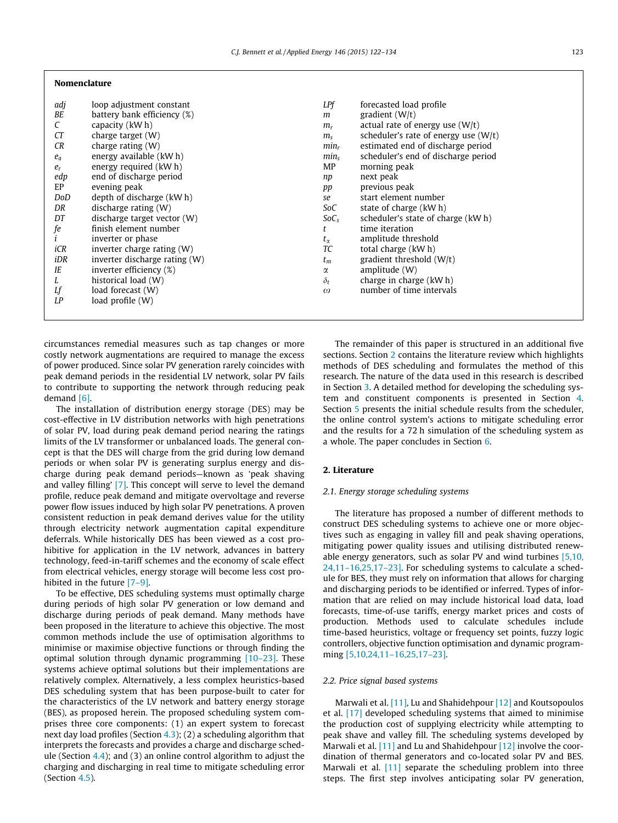| adj   | loop adjustment constant      | LPf              | forecasted load profile                |
|-------|-------------------------------|------------------|----------------------------------------|
| BE    | battery bank efficiency (%)   | m                | gradient $(W/t)$                       |
| C     | capacity (kW h)               | $m_r$            | actual rate of energy use $(W/t)$      |
| CT    | charge target $(W)$           | $m_{\rm s}$      | scheduler's rate of energy use $(W/t)$ |
| CR    | charge rating $(W)$           | $min_r$          | estimated end of discharge period      |
| $e_a$ | energy available (kW h)       | min <sub>s</sub> | scheduler's end of discharge period    |
| $e_r$ | energy required (kW h)        | MP               | morning peak                           |
| edp   | end of discharge period       | np               | next peak                              |
| EP    | evening peak                  | pp               | previous peak                          |
| DoD   | depth of discharge (kW h)     | se               | start element number                   |
| DR    | discharge rating (W)          | SoC              | state of charge (kW h)                 |
| DT    | discharge target vector (W)   | $SoC_s$          | scheduler's state of charge (kW h)     |
| fe    | finish element number         |                  | time iteration                         |
|       | inverter or phase             | $t_{\alpha}$     | amplitude threshold                    |
| iCR   | inverter charge rating $(W)$  | TC               | total charge (kW h)                    |
| iDR   | inverter discharge rating (W) | $t_m$            | gradient threshold $(W/t)$             |
| IE    | inverter efficiency (%)       | α                | amplitude (W)                          |
|       | historical load (W)           | $\delta_t$       | charge in charge (kW h)                |
| Lf    | load forecast (W)             | $\omega$         | number of time intervals               |
| LP    | load profile (W)              |                  |                                        |

circumstances remedial measures such as tap changes or more costly network augmentations are required to manage the excess of power produced. Since solar PV generation rarely coincides with peak demand periods in the residential LV network, solar PV fails to contribute to supporting the network through reducing peak demand [\[6\].](#page--1-0)

Nomenclature

The installation of distribution energy storage (DES) may be cost-effective in LV distribution networks with high penetrations of solar PV, load during peak demand period nearing the ratings limits of the LV transformer or unbalanced loads. The general concept is that the DES will charge from the grid during low demand periods or when solar PV is generating surplus energy and discharge during peak demand periods—known as 'peak shaving and valley filling' [\[7\].](#page--1-0) This concept will serve to level the demand profile, reduce peak demand and mitigate overvoltage and reverse power flow issues induced by high solar PV penetrations. A proven consistent reduction in peak demand derives value for the utility through electricity network augmentation capital expenditure deferrals. While historically DES has been viewed as a cost prohibitive for application in the LV network, advances in battery technology, feed-in-tariff schemes and the economy of scale effect from electrical vehicles, energy storage will become less cost prohibited in the future [\[7–9\]](#page--1-0).

To be effective, DES scheduling systems must optimally charge during periods of high solar PV generation or low demand and discharge during periods of peak demand. Many methods have been proposed in the literature to achieve this objective. The most common methods include the use of optimisation algorithms to minimise or maximise objective functions or through finding the optimal solution through dynamic programming [\[10–23\]](#page--1-0). These systems achieve optimal solutions but their implementations are relatively complex. Alternatively, a less complex heuristics-based DES scheduling system that has been purpose-built to cater for the characteristics of the LV network and battery energy storage (BES), as proposed herein. The proposed scheduling system comprises three core components: (1) an expert system to forecast next day load profiles (Section [4.3](#page--1-0)); (2) a scheduling algorithm that interprets the forecasts and provides a charge and discharge schedule (Section  $4.4$ ); and (3) an online control algorithm to adjust the charging and discharging in real time to mitigate scheduling error (Section [4.5](#page--1-0)).

The remainder of this paper is structured in an additional five sections. Section 2 contains the literature review which highlights methods of DES scheduling and formulates the method of this research. The nature of the data used in this research is described in Section [3.](#page--1-0) A detailed method for developing the scheduling system and constituent components is presented in Section [4.](#page--1-0) Section [5](#page--1-0) presents the initial schedule results from the scheduler, the online control system's actions to mitigate scheduling error and the results for a 72 h simulation of the scheduling system as a whole. The paper concludes in Section [6](#page--1-0).

#### 2. Literature

#### 2.1. Energy storage scheduling systems

The literature has proposed a number of different methods to construct DES scheduling systems to achieve one or more objectives such as engaging in valley fill and peak shaving operations, mitigating power quality issues and utilising distributed renewable energy generators, such as solar PV and wind turbines [\[5,10,](#page--1-0) [24,11–16,25,17–23\].](#page--1-0) For scheduling systems to calculate a schedule for BES, they must rely on information that allows for charging and discharging periods to be identified or inferred. Types of information that are relied on may include historical load data, load forecasts, time-of-use tariffs, energy market prices and costs of production. Methods used to calculate schedules include time-based heuristics, voltage or frequency set points, fuzzy logic controllers, objective function optimisation and dynamic programming [\[5,10,24,11–16,25,17–23\].](#page--1-0)

#### 2.2. Price signal based systems

Marwali et al. [\[11\]](#page--1-0), Lu and Shahidehpour [\[12\]](#page--1-0) and Koutsopoulos et al. [\[17\]](#page--1-0) developed scheduling systems that aimed to minimise the production cost of supplying electricity while attempting to peak shave and valley fill. The scheduling systems developed by Marwali et al. [\[11\]](#page--1-0) and Lu and Shahidehpour [\[12\]](#page--1-0) involve the coordination of thermal generators and co-located solar PV and BES. Marwali et al. [\[11\]](#page--1-0) separate the scheduling problem into three steps. The first step involves anticipating solar PV generation,